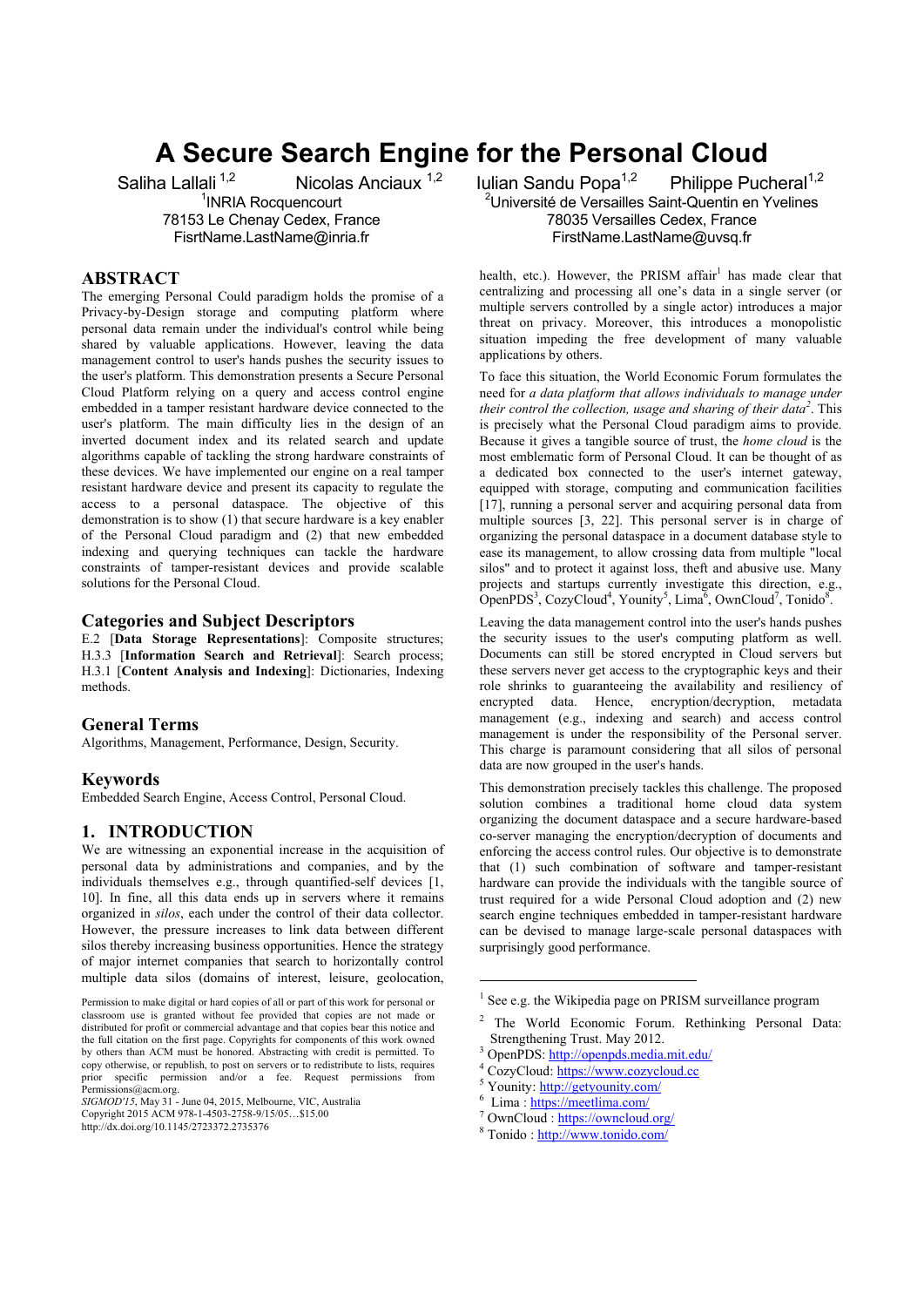# **A Secure Search Engine for the Personal Cloud**

1 INRIA Rocquencourt 78153 Le Chenay Cedex, France FisrtName.LastName@inria.fr

## **ABSTRACT**

The emerging Personal Could paradigm holds the promise of a Privacy-by-Design storage and computing platform where personal data remain under the individual's control while being shared by valuable applications. However, leaving the data management control to user's hands pushes the security issues to the user's platform. This demonstration presents a Secure Personal Cloud Platform relying on a query and access control engine embedded in a tamper resistant hardware device connected to the user's platform. The main difficulty lies in the design of an inverted document index and its related search and update algorithms capable of tackling the strong hardware constraints of these devices. We have implemented our engine on a real tamper resistant hardware device and present its capacity to regulate the access to a personal dataspace. The objective of this demonstration is to show (1) that secure hardware is a key enabler of the Personal Cloud paradigm and (2) that new embedded indexing and querying techniques can tackle the hardware constraints of tamper-resistant devices and provide scalable solutions for the Personal Cloud.

# **Categories and Subject Descriptors**

E.2 [**Data Storage Representations**]: Composite structures; H.3.3 [**Information Search and Retrieval**]: Search process; H.3.1 [**Content Analysis and Indexing**]: Dictionaries, Indexing methods.

## **General Terms**

Algorithms, Management, Performance, Design, Security.

## **Keywords**

Embedded Search Engine, Access Control, Personal Cloud.

# **1. INTRODUCTION**

We are witnessing an exponential increase in the acquisition of personal data by administrations and companies, and by the individuals themselves e.g., through quantified-self devices [1, 10]. In fine, all this data ends up in servers where it remains organized in *silos*, each under the control of their data collector. However, the pressure increases to link data between different silos thereby increasing business opportunities. Hence the strategy of major internet companies that search to horizontally control multiple data silos (domains of interest, leisure, geolocation,

Saliha Lallali <sup>1,2</sup> Nicolas Anciaux <sup>1,2</sup> Iulian Sandu Popa<sup>1,2</sup> Philippe Pucheral<sup>1,2</sup> <sup>2</sup>Université de Versailles Saint-Quentin en Yvelines 78035 Versailles Cedex, France FirstName.LastName@uvsq.fr

> health, etc.). However, the PRISM affair<sup>1</sup> has made clear that centralizing and processing all one's data in a single server (or multiple servers controlled by a single actor) introduces a major threat on privacy. Moreover, this introduces a monopolistic situation impeding the free development of many valuable applications by others.

> To face this situation, the World Economic Forum formulates the need for *a data platform that allows individuals to manage under their control the collection, usage and sharing of their data<sup>2</sup>* . This is precisely what the Personal Cloud paradigm aims to provide. Because it gives a tangible source of trust, the *home cloud* is the most emblematic form of Personal Cloud. It can be thought of as a dedicated box connected to the user's internet gateway, equipped with storage, computing and communication facilities [17], running a personal server and acquiring personal data from multiple sources [3, 22]. This personal server is in charge of organizing the personal dataspace in a document database style to ease its management, to allow crossing data from multiple "local silos" and to protect it against loss, theft and abusive use. Many projects and startups currently investigate this direction, e.g., OpenPDS<sup>3</sup>, CozyCloud<sup>4</sup>, Younity<sup>5</sup>, Lima<sup>6</sup>, OwnCloud<sup>7</sup>, Tonido<sup>8</sup>.

> Leaving the data management control into the user's hands pushes the security issues to the user's computing platform as well. Documents can still be stored encrypted in Cloud servers but these servers never get access to the cryptographic keys and their role shrinks to guaranteeing the availability and resiliency of encrypted data. Hence, encryption/decryption, metadata management (e.g., indexing and search) and access control management is under the responsibility of the Personal server. This charge is paramount considering that all silos of personal data are now grouped in the user's hands.

> This demonstration precisely tackles this challenge. The proposed solution combines a traditional home cloud data system organizing the document dataspace and a secure hardware-based co-server managing the encryption/decryption of documents and enforcing the access control rules. Our objective is to demonstrate that (1) such combination of software and tamper-resistant hardware can provide the individuals with the tangible source of trust required for a wide Personal Cloud adoption and (2) new search engine techniques embedded in tamper-resistant hardware can be devised to manage large-scale personal dataspaces with surprisingly good performance.

1

- OwnCloud : https://owncloud.org/ <sup>8</sup>
- Tonido : http://www.tonido.com/

Permission to make digital or hard copies of all or part of this work for personal or classroom use is granted without fee provided that copies are not made or distributed for profit or commercial advantage and that copies bear this notice and the full citation on the first page. Copyrights for components of this work owned by others than ACM must be honored. Abstracting with credit is permitted. To copy otherwise, or republish, to post on servers or to redistribute to lists, requires prior specific permission and/or a fee. Request permissions from Permissions@acm.org.

*SIGMOD'15*, May 31 - June 04, 2015, Melbourne, VIC, Australia Copyright 2015 ACM 978-1-4503-2758-9/15/05…\$15.00 http://dx.doi.org/10.1145/2723372.2735376

<sup>&</sup>lt;sup>1</sup> See e.g. the Wikipedia page on PRISM surveillance program

<sup>&</sup>lt;sup>2</sup> The World Economic Forum. Rethinking Personal Data: Strengthening Trust. May 2012.

<sup>&</sup>lt;sup>3</sup> OpenPDS: http://openpds.media.mit.edu/

<sup>&</sup>lt;sup>4</sup> CozyCloud: https://www.cozycloud.cc

<sup>&</sup>lt;sup>5</sup> Younity: <u>http://getyounity.com/</u>

 $6$  Lima : https://meetlima.com/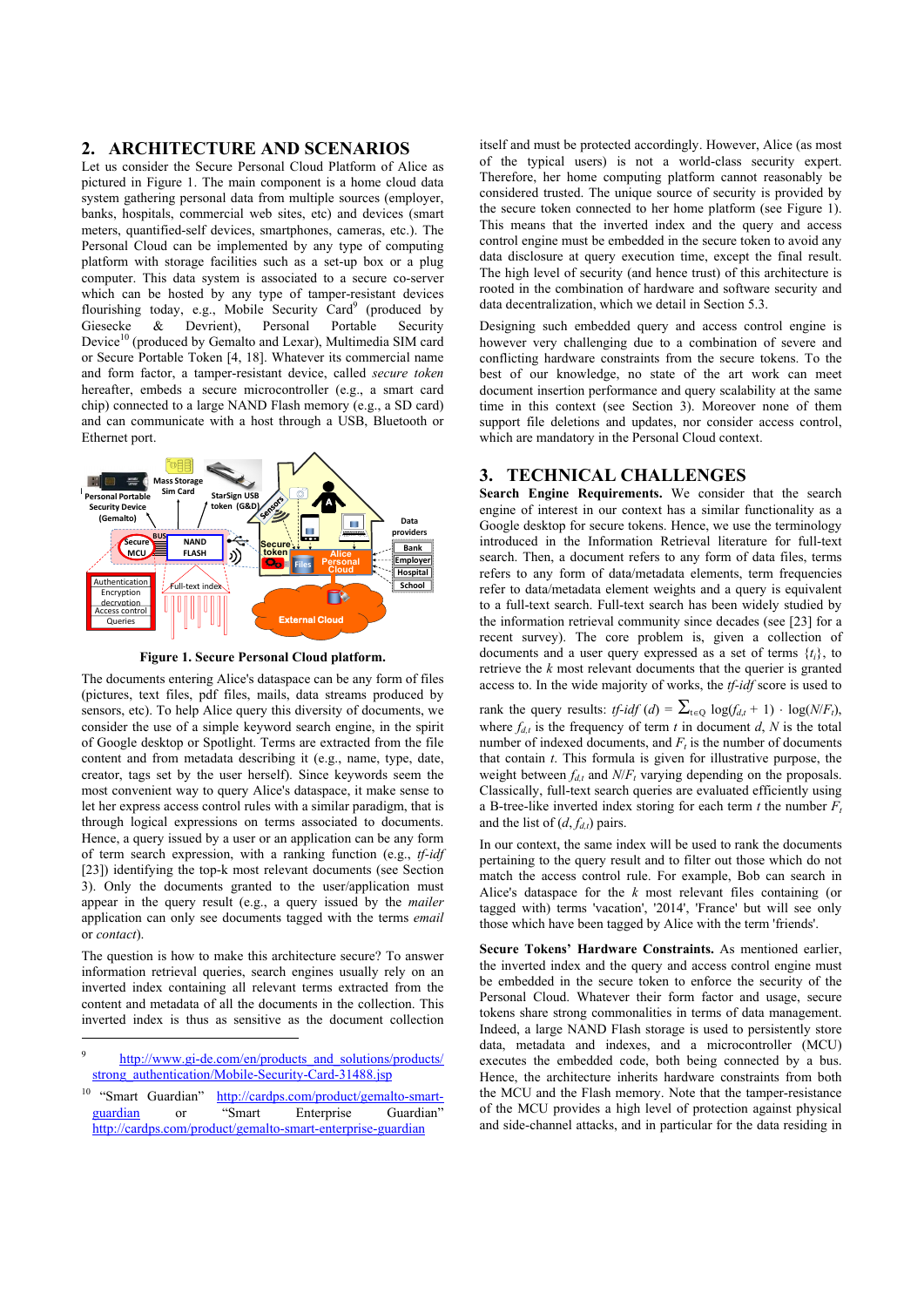# **2. ARCHITECTURE AND SCENARIOS**

Let us consider the Secure Personal Cloud Platform of Alice as pictured in Figure 1. The main component is a home cloud data system gathering personal data from multiple sources (employer, banks, hospitals, commercial web sites, etc) and devices (smart meters, quantified-self devices, smartphones, cameras, etc.). The Personal Cloud can be implemented by any type of computing platform with storage facilities such as a set-up box or a plug computer. This data system is associated to a secure co-server which can be hosted by any type of tamper-resistant devices flourishing today, e.g., Mobile Security Card<sup>9</sup> (produced by Giesecke & Devrient), Personal Portable Security Device<sup>10</sup> (produced by Gemalto and Lexar), Multimedia SIM card or Secure Portable Token [4, 18]. Whatever its commercial name and form factor, a tamper-resistant device, called *secure token* hereafter, embeds a secure microcontroller (e.g., a smart card chip) connected to a large NAND Flash memory (e.g., a SD card) and can communicate with a host through a USB, Bluetooth or Ethernet port.



**Figure 1. Secure Personal Cloud platform.** 

The documents entering Alice's dataspace can be any form of files (pictures, text files, pdf files, mails, data streams produced by sensors, etc). To help Alice query this diversity of documents, we consider the use of a simple keyword search engine, in the spirit of Google desktop or Spotlight. Terms are extracted from the file content and from metadata describing it (e.g., name, type, date, creator, tags set by the user herself). Since keywords seem the most convenient way to query Alice's dataspace, it make sense to let her express access control rules with a similar paradigm, that is through logical expressions on terms associated to documents. Hence, a query issued by a user or an application can be any form of term search expression, with a ranking function (e.g., *tf-idf* [23]) identifying the top-k most relevant documents (see Section 3). Only the documents granted to the user/application must appear in the query result (e.g., a query issued by the *mailer* application can only see documents tagged with the terms *email* or *contact*).

The question is how to make this architecture secure? To answer information retrieval queries, search engines usually rely on an inverted index containing all relevant terms extracted from the content and metadata of all the documents in the collection. This inverted index is thus as sensitive as the document collection

<u>.</u>

itself and must be protected accordingly. However, Alice (as most of the typical users) is not a world-class security expert. Therefore, her home computing platform cannot reasonably be considered trusted. The unique source of security is provided by the secure token connected to her home platform (see Figure 1). This means that the inverted index and the query and access control engine must be embedded in the secure token to avoid any data disclosure at query execution time, except the final result. The high level of security (and hence trust) of this architecture is rooted in the combination of hardware and software security and data decentralization, which we detail in Section 5.3.

Designing such embedded query and access control engine is however very challenging due to a combination of severe and conflicting hardware constraints from the secure tokens. To the best of our knowledge, no state of the art work can meet document insertion performance and query scalability at the same time in this context (see Section 3). Moreover none of them support file deletions and updates, nor consider access control, which are mandatory in the Personal Cloud context.

# **3. TECHNICAL CHALLENGES**

**Search Engine Requirements.** We consider that the search engine of interest in our context has a similar functionality as a Google desktop for secure tokens. Hence, we use the terminology introduced in the Information Retrieval literature for full-text search. Then, a document refers to any form of data files, terms refers to any form of data/metadata elements, term frequencies refer to data/metadata element weights and a query is equivalent to a full-text search. Full-text search has been widely studied by the information retrieval community since decades (see [23] for a recent survey). The core problem is, given a collection of documents and a user query expressed as a set of terms  $\{t_i\}$ , to retrieve the *k* most relevant documents that the querier is granted access to. In the wide majority of works, the *tf-idf* score is used to

rank the query results: *tf-idf* (*d*) =  $\sum_{t \in \Omega} \log(f_{dt} + 1) \cdot \log(N/F_t)$ , where  $f_{d,t}$  is the frequency of term *t* in document *d*, *N* is the total number of indexed documents, and  $F_t$  is the number of documents that contain *t*. This formula is given for illustrative purpose, the weight between  $f_{dt}$  and  $N/F_t$  varying depending on the proposals. Classically, full-text search queries are evaluated efficiently using a B-tree-like inverted index storing for each term  $t$  the number  $F_t$ and the list of  $(d, f_{d,t})$  pairs.

In our context, the same index will be used to rank the documents pertaining to the query result and to filter out those which do not match the access control rule. For example, Bob can search in Alice's dataspace for the *k* most relevant files containing (or tagged with) terms 'vacation', '2014', 'France' but will see only those which have been tagged by Alice with the term 'friends'.

**Secure Tokens' Hardware Constraints.** As mentioned earlier, the inverted index and the query and access control engine must be embedded in the secure token to enforce the security of the Personal Cloud. Whatever their form factor and usage, secure tokens share strong commonalities in terms of data management. Indeed, a large NAND Flash storage is used to persistently store data, metadata and indexes, and a microcontroller (MCU) executes the embedded code, both being connected by a bus. Hence, the architecture inherits hardware constraints from both the MCU and the Flash memory. Note that the tamper-resistance of the MCU provides a high level of protection against physical and side-channel attacks, and in particular for the data residing in

http://www.gi-de.com/en/products\_and\_solutions/products/ strong\_authentication/Mobile-Security-Card-31488.jsp

<sup>&</sup>lt;sup>10</sup> "Smart Guardian" http://cardps.com/product/gemalto-smart-<br>
puardian or "Smart Enterprise Guardian" guardian or "Smart Enterprise Guardian" http://cardps.com/product/gemalto-smart-enterprise-guardian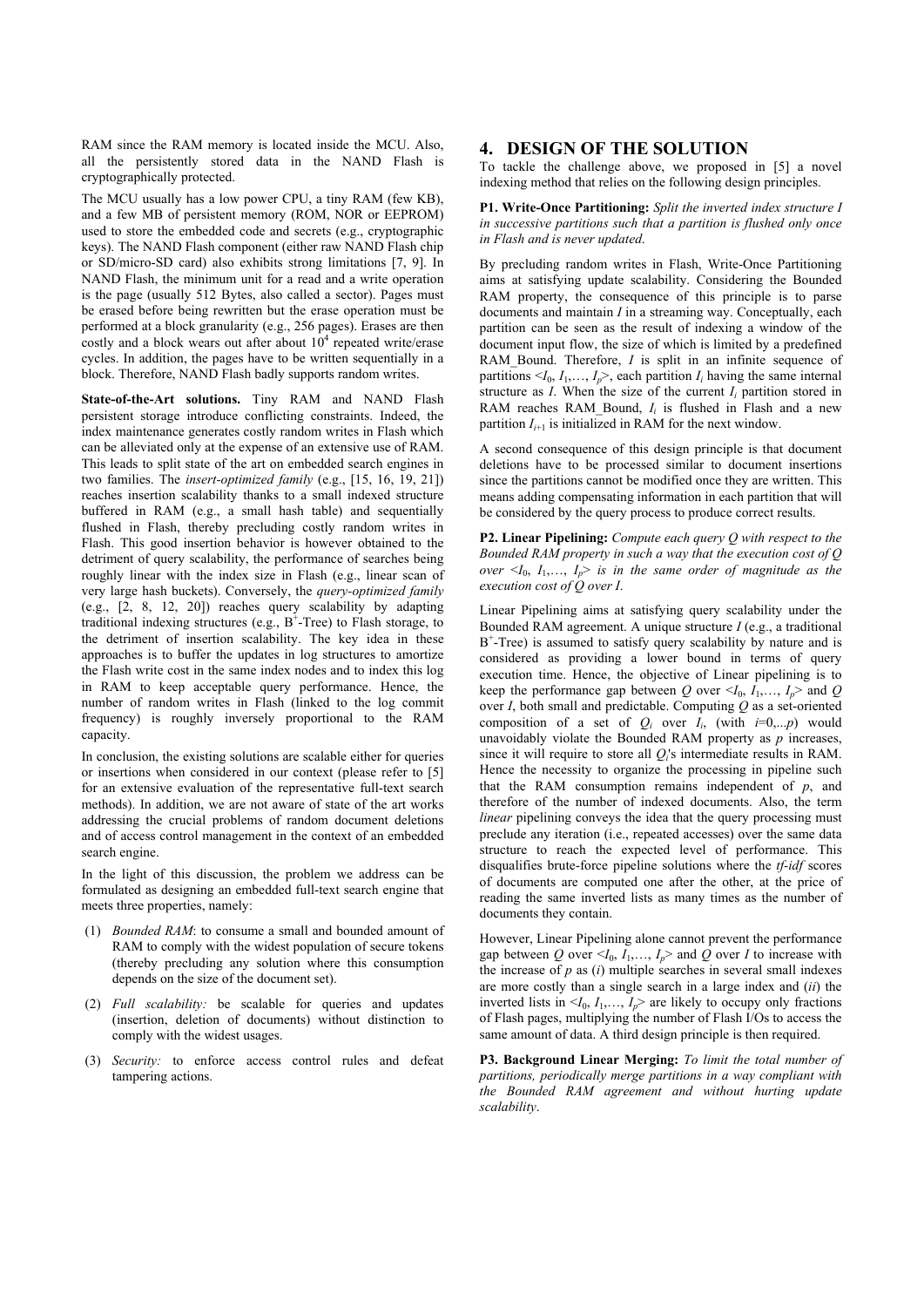RAM since the RAM memory is located inside the MCU. Also, all the persistently stored data in the NAND Flash is cryptographically protected.

The MCU usually has a low power CPU, a tiny RAM (few KB), and a few MB of persistent memory (ROM, NOR or EEPROM) used to store the embedded code and secrets (e.g., cryptographic keys). The NAND Flash component (either raw NAND Flash chip or SD/micro-SD card) also exhibits strong limitations [7, 9]. In NAND Flash, the minimum unit for a read and a write operation is the page (usually 512 Bytes, also called a sector). Pages must be erased before being rewritten but the erase operation must be performed at a block granularity (e.g., 256 pages). Erases are then costly and a block wears out after about  $10<sup>4</sup>$  repeated write/erase cycles. In addition, the pages have to be written sequentially in a block. Therefore, NAND Flash badly supports random writes.

**State-of-the-Art solutions.** Tiny RAM and NAND Flash persistent storage introduce conflicting constraints. Indeed, the index maintenance generates costly random writes in Flash which can be alleviated only at the expense of an extensive use of RAM. This leads to split state of the art on embedded search engines in two families. The *insert-optimized family* (e.g., [15, 16, 19, 21]) reaches insertion scalability thanks to a small indexed structure buffered in RAM (e.g., a small hash table) and sequentially flushed in Flash, thereby precluding costly random writes in Flash. This good insertion behavior is however obtained to the detriment of query scalability, the performance of searches being roughly linear with the index size in Flash (e.g., linear scan of very large hash buckets). Conversely, the *query-optimized family* (e.g., [2, 8, 12, 20]) reaches query scalability by adapting traditional indexing structures (e.g.,  $B^+$ -Tree) to Flash storage, to the detriment of insertion scalability. The key idea in these approaches is to buffer the updates in log structures to amortize the Flash write cost in the same index nodes and to index this log in RAM to keep acceptable query performance. Hence, the number of random writes in Flash (linked to the log commit frequency) is roughly inversely proportional to the RAM capacity.

In conclusion, the existing solutions are scalable either for queries or insertions when considered in our context (please refer to [5] for an extensive evaluation of the representative full-text search methods). In addition, we are not aware of state of the art works addressing the crucial problems of random document deletions and of access control management in the context of an embedded search engine.

In the light of this discussion, the problem we address can be formulated as designing an embedded full-text search engine that meets three properties, namely:

- (1) *Bounded RAM*: to consume a small and bounded amount of RAM to comply with the widest population of secure tokens (thereby precluding any solution where this consumption depends on the size of the document set).
- (2) *Full scalability:* be scalable for queries and updates (insertion, deletion of documents) without distinction to comply with the widest usages.
- (3) *Security:* to enforce access control rules and defeat tampering actions.

# **4. DESIGN OF THE SOLUTION**

To tackle the challenge above, we proposed in [5] a novel indexing method that relies on the following design principles.

#### **P1. Write-Once Partitioning:** *Split the inverted index structure I in successive partitions such that a partition is flushed only once in Flash and is never updated*.

By precluding random writes in Flash, Write-Once Partitioning aims at satisfying update scalability. Considering the Bounded RAM property, the consequence of this principle is to parse documents and maintain *I* in a streaming way. Conceptually, each partition can be seen as the result of indexing a window of the document input flow, the size of which is limited by a predefined RAM Bound. Therefore, *I* is split in an infinite sequence of partitions  $\langle I_0, I_1, \ldots, I_p \rangle$ , each partition  $I_i$  having the same internal structure as *I*. When the size of the current  $I_i$  partition stored in RAM reaches RAM Bound, *I<sub>i</sub>* is flushed in Flash and a new partition  $I_{i+1}$  is initialized in RAM for the next window.

A second consequence of this design principle is that document deletions have to be processed similar to document insertions since the partitions cannot be modified once they are written. This means adding compensating information in each partition that will be considered by the query process to produce correct results.

**P2. Linear Pipelining:** *Compute each query Q with respect to the Bounded RAM property in such a way that the execution cost of Q over*  $\leq I_0$ ,  $I_1, \ldots, I_p$  *is in the same order of magnitude as the execution cost of Q over I*.

Linear Pipelining aims at satisfying query scalability under the Bounded RAM agreement. A unique structure *I* (e.g., a traditional B+ -Tree) is assumed to satisfy query scalability by nature and is considered as providing a lower bound in terms of query execution time. Hence, the objective of Linear pipelining is to keep the performance gap between *Q* over  $\leq I_0$ ,  $I_1, \ldots, I_p$  and *Q* over *I*, both small and predictable. Computing *Q* as a set-oriented composition of a set of  $Q_i$  over  $I_i$ , (with  $i=0,...,p$ ) would unavoidably violate the Bounded RAM property as *p* increases, since it will require to store all *Qi*'s intermediate results in RAM. Hence the necessity to organize the processing in pipeline such that the RAM consumption remains independent of *p*, and therefore of the number of indexed documents. Also, the term *linear* pipelining conveys the idea that the query processing must preclude any iteration (i.e., repeated accesses) over the same data structure to reach the expected level of performance. This disqualifies brute-force pipeline solutions where the *tf-idf* scores of documents are computed one after the other, at the price of reading the same inverted lists as many times as the number of documents they contain.

However, Linear Pipelining alone cannot prevent the performance gap between *Q* over  $\leq I_0$ ,  $I_1, \ldots, I_p$  and *Q* over *I* to increase with the increase of  $p$  as  $(i)$  multiple searches in several small indexes are more costly than a single search in a large index and (*ii*) the inverted lists in  $\langle I_0, I_1, \ldots, I_p \rangle$  are likely to occupy only fractions of Flash pages, multiplying the number of Flash I/Os to access the same amount of data. A third design principle is then required.

**P3. Background Linear Merging:** *To limit the total number of partitions, periodically merge partitions in a way compliant with the Bounded RAM agreement and without hurting update scalability*.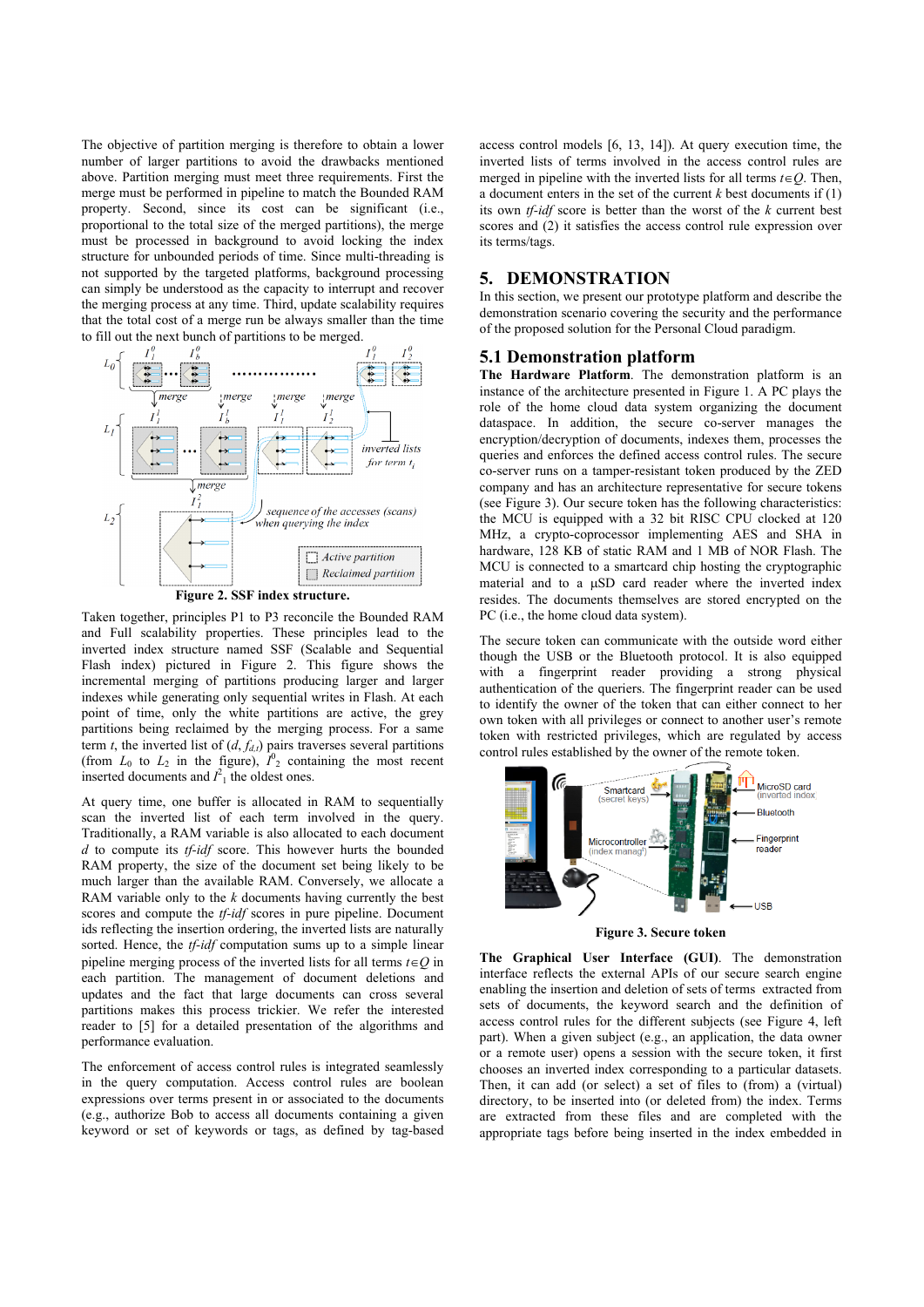The objective of partition merging is therefore to obtain a lower number of larger partitions to avoid the drawbacks mentioned above. Partition merging must meet three requirements. First the merge must be performed in pipeline to match the Bounded RAM property. Second, since its cost can be significant (i.e., proportional to the total size of the merged partitions), the merge must be processed in background to avoid locking the index structure for unbounded periods of time. Since multi-threading is not supported by the targeted platforms, background processing can simply be understood as the capacity to interrupt and recover the merging process at any time. Third, update scalability requires that the total cost of a merge run be always smaller than the time to fill out the next bunch of partitions to be merged.



**Figure 2. SSF index structure.** 

Taken together, principles P1 to P3 reconcile the Bounded RAM and Full scalability properties. These principles lead to the inverted index structure named SSF (Scalable and Sequential Flash index) pictured in Figure 2. This figure shows the incremental merging of partitions producing larger and larger indexes while generating only sequential writes in Flash. At each point of time, only the white partitions are active, the grey partitions being reclaimed by the merging process. For a same term *t*, the inverted list of  $(d, f_{d,t})$  pairs traverses several partitions (from  $L_0$  to  $L_2$  in the figure),  $I_2^0$  containing the most recent inserted documents and  $I^2_1$  the oldest ones.

At query time, one buffer is allocated in RAM to sequentially scan the inverted list of each term involved in the query. Traditionally, a RAM variable is also allocated to each document *d* to compute its *tf-idf* score. This however hurts the bounded RAM property, the size of the document set being likely to be much larger than the available RAM. Conversely, we allocate a RAM variable only to the *k* documents having currently the best scores and compute the *tf-idf* scores in pure pipeline. Document ids reflecting the insertion ordering, the inverted lists are naturally sorted. Hence, the *tf-idf* computation sums up to a simple linear pipeline merging process of the inverted lists for all terms  $t \in Q$  in each partition. The management of document deletions and updates and the fact that large documents can cross several partitions makes this process trickier. We refer the interested reader to [5] for a detailed presentation of the algorithms and performance evaluation.

The enforcement of access control rules is integrated seamlessly in the query computation. Access control rules are boolean expressions over terms present in or associated to the documents (e.g., authorize Bob to access all documents containing a given keyword or set of keywords or tags, as defined by tag-based access control models [6, 13, 14]). At query execution time, the inverted lists of terms involved in the access control rules are merged in pipeline with the inverted lists for all terms  $t \in Q$ . Then, a document enters in the set of the current  $k$  best documents if  $(1)$ its own *tf-idf* score is better than the worst of the *k* current best scores and (2) it satisfies the access control rule expression over its terms/tags.

# **5. DEMONSTRATION**

In this section, we present our prototype platform and describe the demonstration scenario covering the security and the performance of the proposed solution for the Personal Cloud paradigm.

### **5.1 Demonstration platform**

**The Hardware Platform**. The demonstration platform is an instance of the architecture presented in Figure 1. A PC plays the role of the home cloud data system organizing the document dataspace. In addition, the secure co-server manages the encryption/decryption of documents, indexes them, processes the queries and enforces the defined access control rules. The secure co-server runs on a tamper-resistant token produced by the ZED company and has an architecture representative for secure tokens (see Figure 3). Our secure token has the following characteristics: the MCU is equipped with a 32 bit RISC CPU clocked at 120 MHz, a crypto-coprocessor implementing AES and SHA in hardware, 128 KB of static RAM and 1 MB of NOR Flash. The MCU is connected to a smartcard chip hosting the cryptographic material and to a  $\mu SD$  card reader where the inverted index resides. The documents themselves are stored encrypted on the PC (i.e., the home cloud data system).

The secure token can communicate with the outside word either though the USB or the Bluetooth protocol. It is also equipped with a fingerprint reader providing a strong physical authentication of the queriers. The fingerprint reader can be used to identify the owner of the token that can either connect to her own token with all privileges or connect to another user's remote token with restricted privileges, which are regulated by access control rules established by the owner of the remote token.



**Figure 3. Secure token** 

**The Graphical User Interface (GUI)**. The demonstration interface reflects the external APIs of our secure search engine enabling the insertion and deletion of sets of terms extracted from sets of documents, the keyword search and the definition of access control rules for the different subjects (see Figure 4, left part). When a given subject (e.g., an application, the data owner or a remote user) opens a session with the secure token, it first chooses an inverted index corresponding to a particular datasets. Then, it can add (or select) a set of files to (from) a (virtual) directory, to be inserted into (or deleted from) the index. Terms are extracted from these files and are completed with the appropriate tags before being inserted in the index embedded in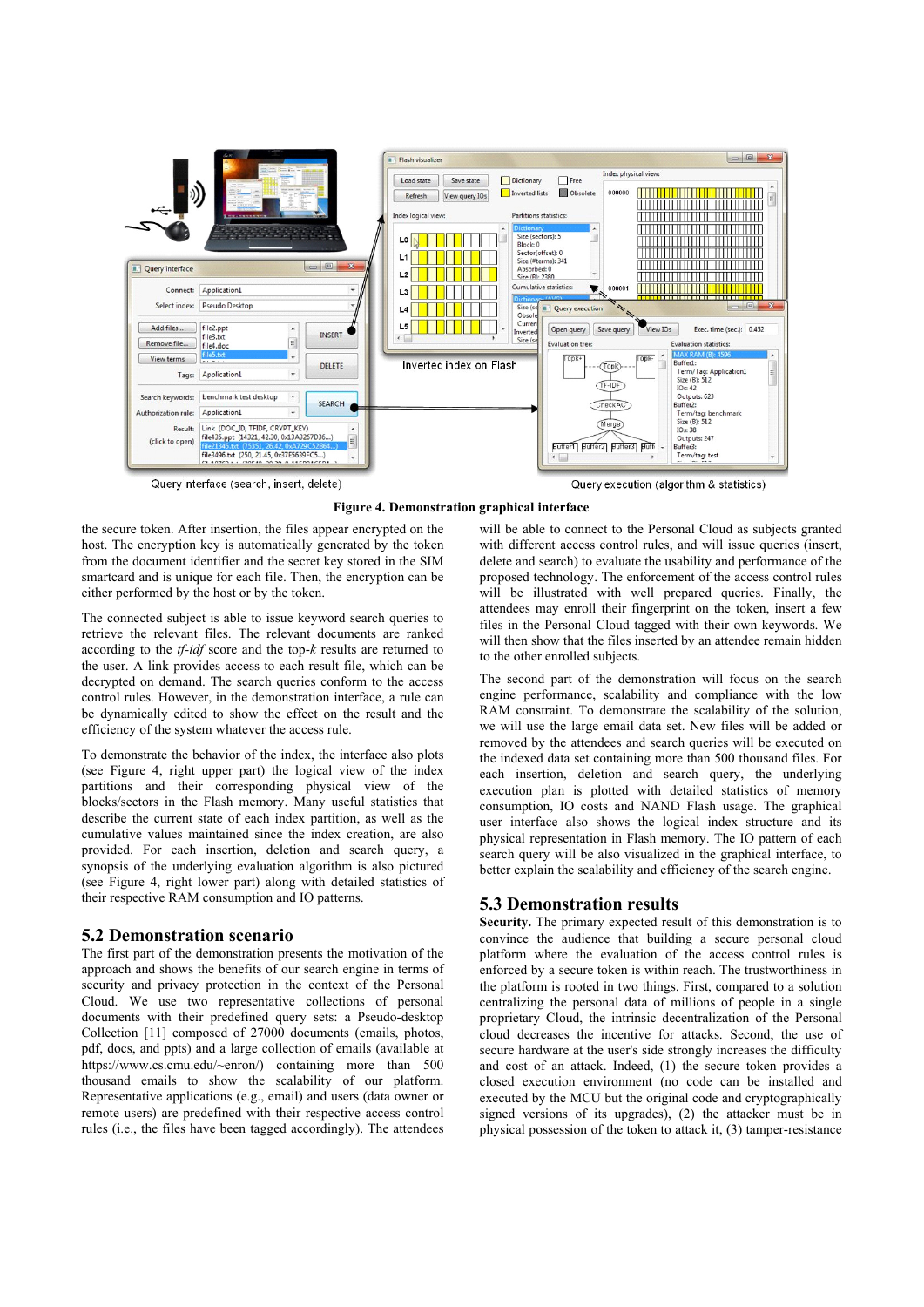

Query interface (search, insert, delete)

Query execution (algorithm & statistics)



the secure token. After insertion, the files appear encrypted on the host. The encryption key is automatically generated by the token from the document identifier and the secret key stored in the SIM smartcard and is unique for each file. Then, the encryption can be either performed by the host or by the token.

The connected subject is able to issue keyword search queries to retrieve the relevant files. The relevant documents are ranked according to the *tf-idf* score and the top-*k* results are returned to the user. A link provides access to each result file, which can be decrypted on demand. The search queries conform to the access control rules. However, in the demonstration interface, a rule can be dynamically edited to show the effect on the result and the efficiency of the system whatever the access rule.

To demonstrate the behavior of the index, the interface also plots (see Figure 4, right upper part) the logical view of the index partitions and their corresponding physical view of the blocks/sectors in the Flash memory. Many useful statistics that describe the current state of each index partition, as well as the cumulative values maintained since the index creation, are also provided. For each insertion, deletion and search query, a synopsis of the underlying evaluation algorithm is also pictured (see Figure 4, right lower part) along with detailed statistics of their respective RAM consumption and IO patterns.

## **5.2 Demonstration scenario**

The first part of the demonstration presents the motivation of the approach and shows the benefits of our search engine in terms of security and privacy protection in the context of the Personal Cloud. We use two representative collections of personal documents with their predefined query sets: a Pseudo-desktop Collection [11] composed of 27000 documents (emails, photos, pdf, docs, and ppts) and a large collection of emails (available at https://www.cs.cmu.edu/~enron/) containing more than 500 thousand emails to show the scalability of our platform. Representative applications (e.g., email) and users (data owner or remote users) are predefined with their respective access control rules (i.e., the files have been tagged accordingly). The attendees

will be able to connect to the Personal Cloud as subjects granted with different access control rules, and will issue queries (insert, delete and search) to evaluate the usability and performance of the proposed technology. The enforcement of the access control rules will be illustrated with well prepared queries. Finally, the attendees may enroll their fingerprint on the token, insert a few files in the Personal Cloud tagged with their own keywords. We will then show that the files inserted by an attendee remain hidden to the other enrolled subjects.

The second part of the demonstration will focus on the search engine performance, scalability and compliance with the low RAM constraint. To demonstrate the scalability of the solution, we will use the large email data set. New files will be added or removed by the attendees and search queries will be executed on the indexed data set containing more than 500 thousand files. For each insertion, deletion and search query, the underlying execution plan is plotted with detailed statistics of memory consumption, IO costs and NAND Flash usage. The graphical user interface also shows the logical index structure and its physical representation in Flash memory. The IO pattern of each search query will be also visualized in the graphical interface, to better explain the scalability and efficiency of the search engine.

# **5.3 Demonstration results**

**Security.** The primary expected result of this demonstration is to convince the audience that building a secure personal cloud platform where the evaluation of the access control rules is enforced by a secure token is within reach. The trustworthiness in the platform is rooted in two things. First, compared to a solution centralizing the personal data of millions of people in a single proprietary Cloud, the intrinsic decentralization of the Personal cloud decreases the incentive for attacks. Second, the use of secure hardware at the user's side strongly increases the difficulty and cost of an attack. Indeed, (1) the secure token provides a closed execution environment (no code can be installed and executed by the MCU but the original code and cryptographically signed versions of its upgrades), (2) the attacker must be in physical possession of the token to attack it, (3) tamper-resistance